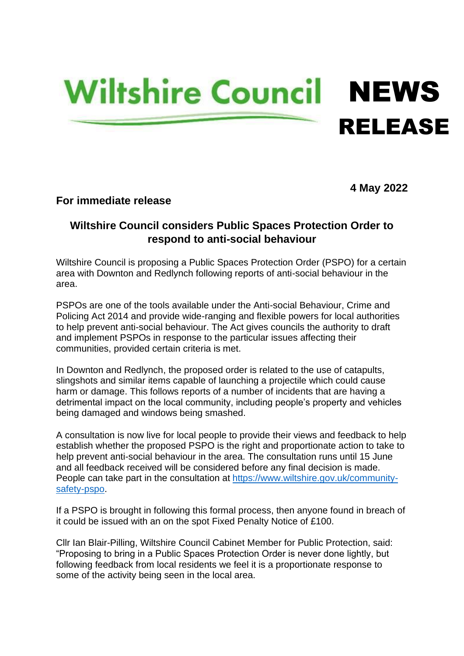## **Wiltshire Council NEWS** RELEASE

**4 May 2022**

## **For immediate release**

## **Wiltshire Council considers Public Spaces Protection Order to respond to anti-social behaviour**

Wiltshire Council is proposing a Public Spaces Protection Order (PSPO) for a certain area with Downton and Redlynch following reports of anti-social behaviour in the area.

PSPOs are one of the tools available under the Anti-social Behaviour, Crime and Policing Act 2014 and provide wide-ranging and flexible powers for local authorities to help prevent anti-social behaviour. The Act gives councils the authority to draft and implement PSPOs in response to the particular issues affecting their communities, provided certain criteria is met.

In Downton and Redlynch, the proposed order is related to the use of catapults, slingshots and similar items capable of launching a projectile which could cause harm or damage. This follows reports of a number of incidents that are having a detrimental impact on the local community, including people's property and vehicles being damaged and windows being smashed.

A consultation is now live for local people to provide their views and feedback to help establish whether the proposed PSPO is the right and proportionate action to take to help prevent anti-social behaviour in the area. The consultation runs until 15 June and all feedback received will be considered before any final decision is made. People can take part in the consultation at [https://www.wiltshire.gov.uk/community](https://eur02.safelinks.protection.outlook.com/?url=https%3A%2F%2Fwww.wiltshire.gov.uk%2Fcommunity-safety-pspo&data=05%7C01%7CLucy.Coombes%40wiltshire.gov.uk%7Ce627bd0236b24423ef0508da2dbca3df%7C5546e75e3be14813b0ff26651ea2fe19%7C0%7C0%7C637872585464491787%7CUnknown%7CTWFpbGZsb3d8eyJWIjoiMC4wLjAwMDAiLCJQIjoiV2luMzIiLCJBTiI6Ik1haWwiLCJXVCI6Mn0%3D%7C3000%7C%7C%7C&sdata=lPav1%2FRPAEw5SSwBhWvSWaU1ijbEZLpO340jYVVRwM4%3D&reserved=0)[safety-pspo.](https://eur02.safelinks.protection.outlook.com/?url=https%3A%2F%2Fwww.wiltshire.gov.uk%2Fcommunity-safety-pspo&data=05%7C01%7CLucy.Coombes%40wiltshire.gov.uk%7Ce627bd0236b24423ef0508da2dbca3df%7C5546e75e3be14813b0ff26651ea2fe19%7C0%7C0%7C637872585464491787%7CUnknown%7CTWFpbGZsb3d8eyJWIjoiMC4wLjAwMDAiLCJQIjoiV2luMzIiLCJBTiI6Ik1haWwiLCJXVCI6Mn0%3D%7C3000%7C%7C%7C&sdata=lPav1%2FRPAEw5SSwBhWvSWaU1ijbEZLpO340jYVVRwM4%3D&reserved=0)

If a PSPO is brought in following this formal process, then anyone found in breach of it could be issued with an on the spot Fixed Penalty Notice of £100.

Cllr Ian Blair-Pilling, Wiltshire Council Cabinet Member for Public Protection, said: "Proposing to bring in a Public Spaces Protection Order is never done lightly, but following feedback from local residents we feel it is a proportionate response to some of the activity being seen in the local area.